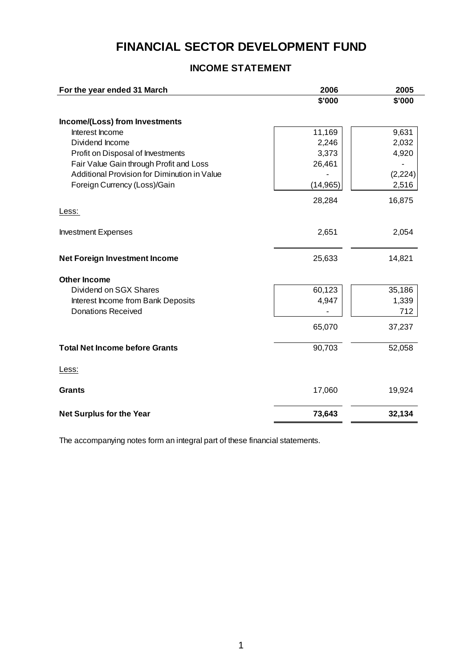# **FINANCIAL SECTOR DEVELOPMENT FUND**

# **INCOME STATEMENT**

| For the year ended 31 March                  | 2006      | 2005     |
|----------------------------------------------|-----------|----------|
|                                              | \$'000    | \$'000   |
| Income/(Loss) from Investments               |           |          |
| Interest Income                              | 11,169    | 9,631    |
| Dividend Income                              | 2,246     | 2,032    |
| Profit on Disposal of Investments            | 3,373     | 4,920    |
| Fair Value Gain through Profit and Loss      | 26,461    |          |
| Additional Provision for Diminution in Value |           | (2, 224) |
| Foreign Currency (Loss)/Gain                 | (14, 965) | 2,516    |
|                                              | 28,284    | 16,875   |
| Less:                                        |           |          |
| <b>Investment Expenses</b>                   | 2,651     | 2,054    |
| <b>Net Foreign Investment Income</b>         | 25,633    | 14,821   |
| <b>Other Income</b>                          |           |          |
| Dividend on SGX Shares                       | 60,123    | 35,186   |
| Interest Income from Bank Deposits           | 4,947     | 1,339    |
| <b>Donations Received</b>                    |           | 712      |
|                                              | 65,070    | 37,237   |
| <b>Total Net Income before Grants</b>        | 90,703    | 52,058   |
| Less:                                        |           |          |
| <b>Grants</b>                                | 17,060    | 19,924   |
| <b>Net Surplus for the Year</b>              | 73,643    | 32,134   |

The accompanying notes form an integral part of these financial statements.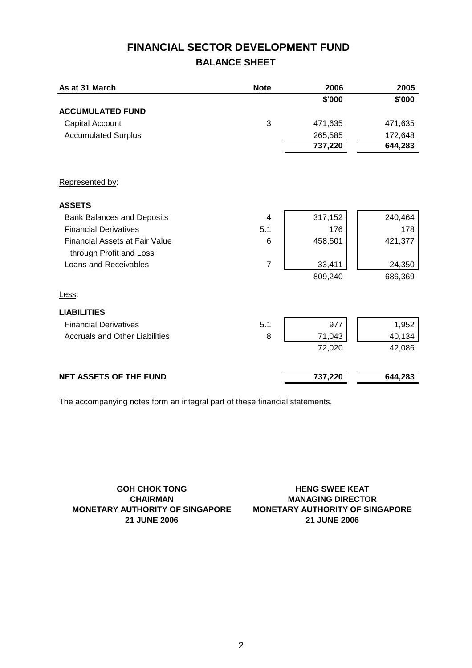# **FINANCIAL SECTOR DEVELOPMENT FUND BALANCE SHEET**

| As at 31 March                        | <b>Note</b>    | 2006    | 2005    |
|---------------------------------------|----------------|---------|---------|
|                                       |                | \$'000  | \$'000  |
| <b>ACCUMULATED FUND</b>               |                |         |         |
| <b>Capital Account</b>                | 3              | 471,635 | 471,635 |
| <b>Accumulated Surplus</b>            |                | 265,585 | 172,648 |
|                                       |                | 737,220 | 644,283 |
|                                       |                |         |         |
| Represented by:                       |                |         |         |
| <b>ASSETS</b>                         |                |         |         |
| <b>Bank Balances and Deposits</b>     | 4              | 317,152 | 240,464 |
| <b>Financial Derivatives</b>          | 5.1            | 176     | 178     |
| <b>Financial Assets at Fair Value</b> | 6              | 458,501 | 421,377 |
| through Profit and Loss               |                |         |         |
| Loans and Receivables                 | $\overline{7}$ | 33,411  | 24,350  |
|                                       |                | 809,240 | 686,369 |
| Less:                                 |                |         |         |
| <b>LIABILITIES</b>                    |                |         |         |
| <b>Financial Derivatives</b>          | 5.1            | 977     | 1,952   |
| <b>Accruals and Other Liabilities</b> | 8              | 71,043  | 40,134  |
|                                       |                | 72,020  | 42,086  |
| <b>NET ASSETS OF THE FUND</b>         |                | 737,220 | 644,283 |

The accompanying notes form an integral part of these financial statements.

**GOH CHOK TONG CHAIRMAN MONETARY AUTHORITY OF SINGAPORE 21 JUNE 2006**

**MONETARY AUTHORITY OF SINGAPORE MANAGING DIRECTOR HENG SWEE KEAT 21 JUNE 2006**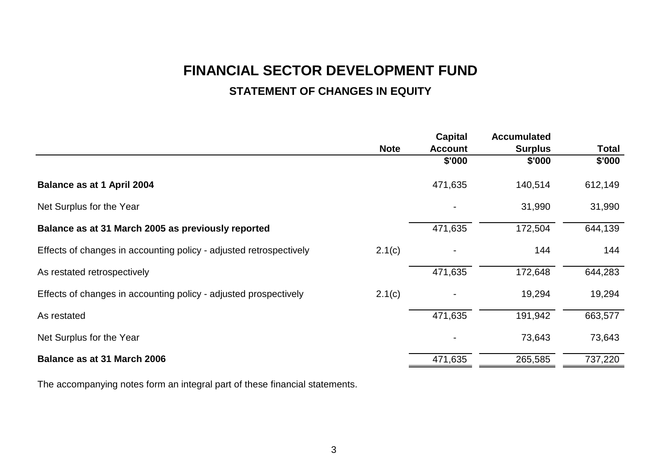# **FINANCIAL SECTOR DEVELOPMENT FUND**

# **STATEMENT OF CHANGES IN EQUITY**

|                                                                    |             | Capital        | <b>Accumulated</b> |         |
|--------------------------------------------------------------------|-------------|----------------|--------------------|---------|
|                                                                    | <b>Note</b> | <b>Account</b> | <b>Surplus</b>     | Total   |
|                                                                    |             | \$'000         | \$'000             | \$'000  |
| Balance as at 1 April 2004                                         |             | 471,635        | 140,514            | 612,149 |
| Net Surplus for the Year                                           |             |                | 31,990             | 31,990  |
| Balance as at 31 March 2005 as previously reported                 |             | 471,635        | 172,504            | 644,139 |
| Effects of changes in accounting policy - adjusted retrospectively | 2.1(c)      |                | 144                | 144     |
| As restated retrospectively                                        |             | 471,635        | 172,648            | 644,283 |
| Effects of changes in accounting policy - adjusted prospectively   | 2.1(c)      |                | 19,294             | 19,294  |
| As restated                                                        |             | 471,635        | 191,942            | 663,577 |
| Net Surplus for the Year                                           |             |                | 73,643             | 73,643  |
| Balance as at 31 March 2006                                        |             | 471,635        | 265,585            | 737,220 |

The accompanying notes form an integral part of these financial statements.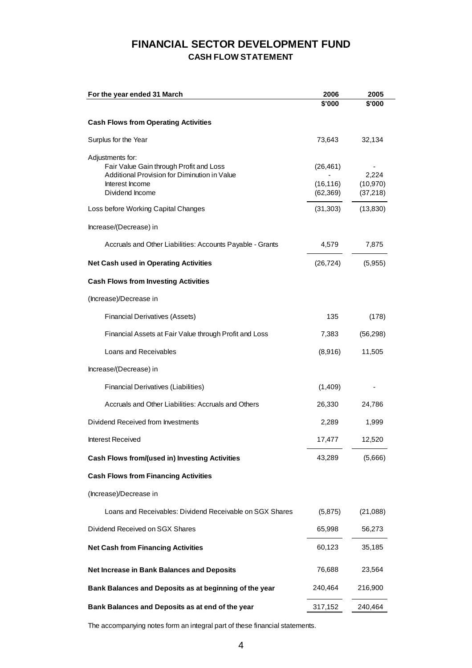# **FINANCIAL SECTOR DEVELOPMENT FUND CASH FLOW STATEMENT**

| For the year ended 31 March                                                                                                                       | 2006<br>\$'000                      | 2005<br>\$'000                  |
|---------------------------------------------------------------------------------------------------------------------------------------------------|-------------------------------------|---------------------------------|
| <b>Cash Flows from Operating Activities</b>                                                                                                       |                                     |                                 |
| Surplus for the Year                                                                                                                              | 73,643                              | 32,134                          |
| Adjustments for:<br>Fair Value Gain through Profit and Loss<br>Additional Provision for Diminution in Value<br>Interest Income<br>Dividend Income | (26, 461)<br>(16, 116)<br>(62, 369) | 2,224<br>(10, 970)<br>(37, 218) |
| Loss before Working Capital Changes                                                                                                               | (31, 303)                           | (13, 830)                       |
| Increase/(Decrease) in                                                                                                                            |                                     |                                 |
| Accruals and Other Liabilities: Accounts Payable - Grants                                                                                         | 4,579                               | 7,875                           |
| <b>Net Cash used in Operating Activities</b>                                                                                                      | (26, 724)                           | (5,955)                         |
| <b>Cash Flows from Investing Activities</b>                                                                                                       |                                     |                                 |
| (Increase)/Decrease in                                                                                                                            |                                     |                                 |
| <b>Financial Derivatives (Assets)</b>                                                                                                             | 135                                 | (178)                           |
| Financial Assets at Fair Value through Profit and Loss                                                                                            | 7,383                               | (56, 298)                       |
| Loans and Receivables                                                                                                                             | (8,916)                             | 11,505                          |
| Increase/(Decrease) in                                                                                                                            |                                     |                                 |
| Financial Derivatives (Liabilities)                                                                                                               | (1,409)                             |                                 |
| Accruals and Other Liabilities: Accruals and Others                                                                                               | 26,330                              | 24,786                          |
| Dividend Received from Investments                                                                                                                | 2,289                               | 1,999                           |
| Interest Received                                                                                                                                 | 17,477                              | 12,520                          |
| <b>Cash Flows from/(used in) Investing Activities</b>                                                                                             | 43,289                              | (5,666)                         |
| <b>Cash Flows from Financing Activities</b>                                                                                                       |                                     |                                 |
| (Increase)/Decrease in                                                                                                                            |                                     |                                 |
| Loans and Receivables: Dividend Receivable on SGX Shares                                                                                          | (5,875)                             | (21,088)                        |
| Dividend Received on SGX Shares                                                                                                                   | 65,998                              | 56,273                          |
| <b>Net Cash from Financing Activities</b>                                                                                                         | 60,123                              | 35,185                          |
| Net Increase in Bank Balances and Deposits                                                                                                        | 76,688                              | 23,564                          |
| Bank Balances and Deposits as at beginning of the year                                                                                            | 240,464                             | 216,900                         |
| Bank Balances and Deposits as at end of the year                                                                                                  | 317,152                             | 240,464                         |

The accompanying notes form an integral part of these financial statements.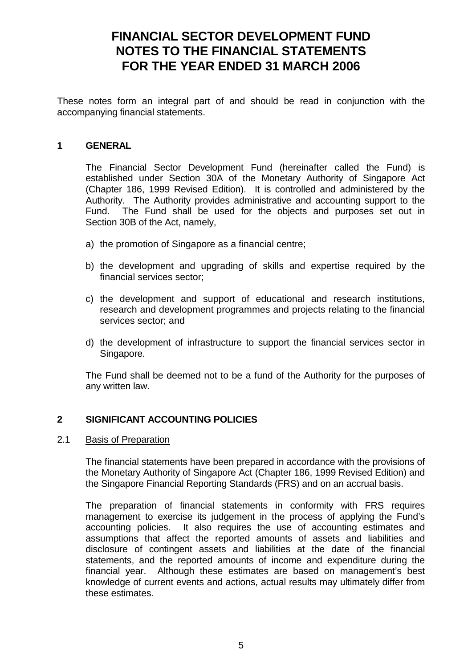# **FINANCIAL SECTOR DEVELOPMENT FUND NOTES TO THE FINANCIAL STATEMENTS FOR THE YEAR ENDED 31 MARCH 2006**

These notes form an integral part of and should be read in conjunction with the accompanying financial statements.

## **1 GENERAL**

 The Financial Sector Development Fund (hereinafter called the Fund) is established under Section 30A of the Monetary Authority of Singapore Act (Chapter 186, 1999 Revised Edition). It is controlled and administered by the Authority. The Authority provides administrative and accounting support to the Fund. The Fund shall be used for the objects and purposes set out in Section 30B of the Act, namely,

- a) the promotion of Singapore as a financial centre;
- b) the development and upgrading of skills and expertise required by the financial services sector;
- c) the development and support of educational and research institutions, research and development programmes and projects relating to the financial services sector; and
- d) the development of infrastructure to support the financial services sector in Singapore.

The Fund shall be deemed not to be a fund of the Authority for the purposes of any written law.

### **2 SIGNIFICANT ACCOUNTING POLICIES**

### 2.1 Basis of Preparation

 The financial statements have been prepared in accordance with the provisions of the Monetary Authority of Singapore Act (Chapter 186, 1999 Revised Edition) and the Singapore Financial Reporting Standards (FRS) and on an accrual basis.

 The preparation of financial statements in conformity with FRS requires management to exercise its judgement in the process of applying the Fund's accounting policies. It also requires the use of accounting estimates and assumptions that affect the reported amounts of assets and liabilities and disclosure of contingent assets and liabilities at the date of the financial statements, and the reported amounts of income and expenditure during the financial year. Although these estimates are based on management's best knowledge of current events and actions, actual results may ultimately differ from these estimates.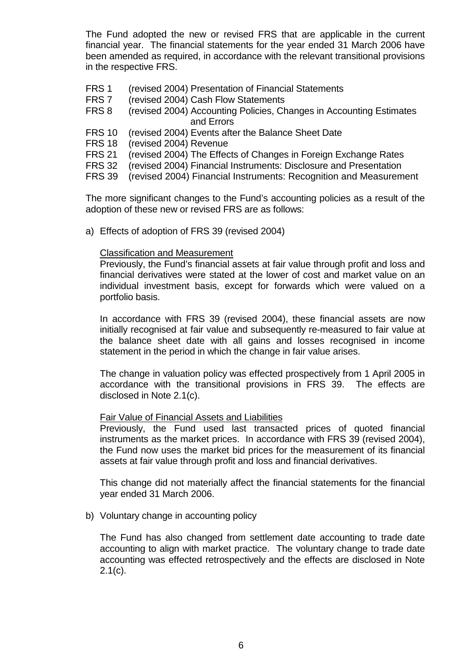The Fund adopted the new or revised FRS that are applicable in the current financial year. The financial statements for the year ended 31 March 2006 have been amended as required, in accordance with the relevant transitional provisions in the respective FRS.

- FRS 1 (revised 2004) Presentation of Financial Statements
- FRS 7 (revised 2004) Cash Flow Statements
- FRS 8 (revised 2004) Accounting Policies, Changes in Accounting Estimates and Errors
- FRS 10 (revised 2004) Events after the Balance Sheet Date
- FRS 18 (revised 2004) Revenue
- FRS 21 (revised 2004) The Effects of Changes in Foreign Exchange Rates
- FRS 32 (revised 2004) Financial Instruments: Disclosure and Presentation
- FRS 39 (revised 2004) Financial Instruments: Recognition and Measurement

 The more significant changes to the Fund's accounting policies as a result of the adoption of these new or revised FRS are as follows:

a) Effects of adoption of FRS 39 (revised 2004)

#### Classification and Measurement

 Previously, the Fund's financial assets at fair value through profit and loss and financial derivatives were stated at the lower of cost and market value on an individual investment basis, except for forwards which were valued on a portfolio basis.

 In accordance with FRS 39 (revised 2004), these financial assets are now initially recognised at fair value and subsequently re-measured to fair value at the balance sheet date with all gains and losses recognised in income statement in the period in which the change in fair value arises.

 The change in valuation policy was effected prospectively from 1 April 2005 in accordance with the transitional provisions in FRS 39. The effects are disclosed in Note 2.1(c).

#### Fair Value of Financial Assets and Liabilities

Previously, the Fund used last transacted prices of quoted financial instruments as the market prices. In accordance with FRS 39 (revised 2004), the Fund now uses the market bid prices for the measurement of its financial assets at fair value through profit and loss and financial derivatives.

This change did not materially affect the financial statements for the financial year ended 31 March 2006.

b) Voluntary change in accounting policy

 The Fund has also changed from settlement date accounting to trade date accounting to align with market practice. The voluntary change to trade date accounting was effected retrospectively and the effects are disclosed in Note  $2.1(c)$ .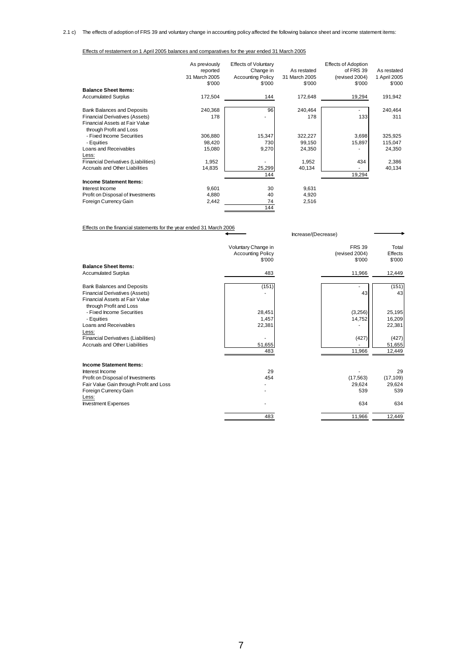Effects of restatement on 1 April 2005 balances and comparatives for the year ended 31 March 2005

|                                     | As previously | <b>Effects of Voluntary</b> |               | <b>Effects of Adoption</b> |              |
|-------------------------------------|---------------|-----------------------------|---------------|----------------------------|--------------|
|                                     | reported      | Change in                   | As restated   | of FRS 39                  | As restated  |
|                                     | 31 March 2005 | <b>Accounting Policy</b>    | 31 March 2005 | (revised 2004)             | 1 April 2005 |
|                                     | \$'000        | \$'000                      | \$'000        | \$'000                     | \$'000       |
| <b>Balance Sheet Items:</b>         |               |                             |               |                            |              |
| <b>Accumulated Surplus</b>          | 172,504       | 144                         | 172,648       | 19,294                     | 191,942      |
| <b>Bank Balances and Deposits</b>   | 240,368       | 96                          | 240,464       |                            | 240,464      |
| Financial Derivatives (Assets)      | 178           |                             | 178           | 133                        | 311          |
| Financial Assets at Fair Value      |               |                             |               |                            |              |
| through Profit and Loss             |               |                             |               |                            |              |
| - Fixed Income Securities           | 306,880       | 15,347                      | 322,227       | 3,698                      | 325,925      |
| - Equities                          | 98,420        | 730                         | 99,150        | 15,897                     | 115,047      |
| Loans and Receivables               | 15,080        | 9,270                       | 24,350        |                            | 24,350       |
| Less:                               |               |                             |               |                            |              |
| Financial Derivatives (Liabilities) | 1,952         |                             | 1,952         | 434                        | 2,386        |
| Accruals and Other Liabilities      | 14,835        | 25,299                      | 40,134        |                            | 40,134       |
|                                     |               | 144                         |               | 19,294                     |              |
| <b>Income Statement Items:</b>      |               |                             |               |                            |              |
| Interest Income                     | 9,601         | 30                          | 9,631         |                            |              |
| Profit on Disposal of Investments   | 4,880         | 40                          | 4,920         |                            |              |
| Foreign Currency Gain               | 2,442         | 74                          | 2,516         |                            |              |
|                                     |               | 144                         |               |                            |              |

Effects on the financial statements for the year ended 31 March 2006

|                                                           | Voluntary Change in<br><b>Accounting Policy</b><br>\$'000 | <b>FRS 39</b><br>(revised 2004)<br>\$'000 | Total<br><b>Effects</b><br>\$'000 |
|-----------------------------------------------------------|-----------------------------------------------------------|-------------------------------------------|-----------------------------------|
| <b>Balance Sheet Items:</b><br><b>Accumulated Surplus</b> | 483                                                       | 11,966                                    | 12,449                            |
|                                                           |                                                           |                                           |                                   |
| <b>Bank Balances and Deposits</b>                         | (151)                                                     |                                           | (151)                             |
| <b>Financial Derivatives (Assets)</b>                     |                                                           | 43                                        | 43                                |
| Financial Assets at Fair Value                            |                                                           |                                           |                                   |
| through Profit and Loss                                   |                                                           |                                           |                                   |
| - Fixed Income Securities                                 | 28,451                                                    | (3,256)                                   | 25,195                            |
| - Equities                                                | 1,457                                                     | 14,752                                    | 16,209                            |
| Loans and Receivables                                     | 22,381                                                    |                                           | 22,381                            |
| Less:                                                     |                                                           |                                           |                                   |
| Financial Derivatives (Liabilities)                       |                                                           | (427)                                     | (427)                             |
| <b>Accruals and Other Liabilities</b>                     | 51,655                                                    |                                           | 51,655                            |
|                                                           | 483                                                       | 11,966                                    | 12,449                            |
| <b>Income Statement Items:</b>                            |                                                           |                                           |                                   |
| Interest Income                                           | 29                                                        |                                           | 29                                |
| Profit on Disposal of Investments                         | 454                                                       | (17, 563)                                 | (17, 109)                         |
| Fair Value Gain through Profit and Loss                   |                                                           | 29.624                                    | 29,624                            |
| Foreign Currency Gain                                     |                                                           | 539                                       | 539                               |
| Less:                                                     |                                                           |                                           |                                   |
| <b>Investment Expenses</b>                                |                                                           | 634                                       | 634                               |
|                                                           | 483                                                       | 11,966                                    | 12,449                            |

Increase/(Decrease)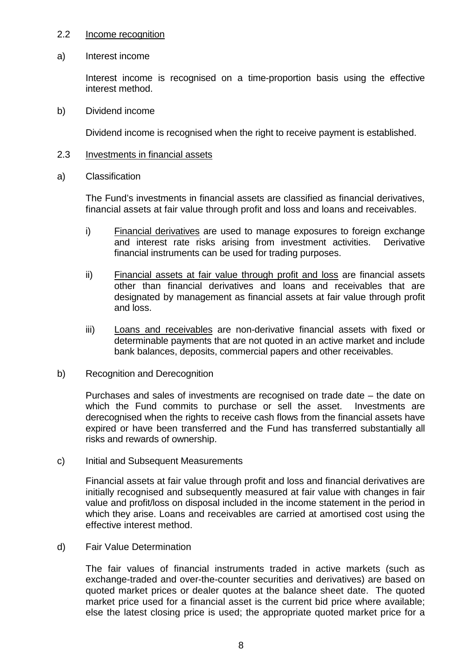#### 2.2 Income recognition

a) Interest income

 Interest income is recognised on a time-proportion basis using the effective interest method.

b) Dividend income

Dividend income is recognised when the right to receive payment is established.

- 2.3 Investments in financial assets
- a) Classification

The Fund's investments in financial assets are classified as financial derivatives, financial assets at fair value through profit and loss and loans and receivables.

- i) Financial derivatives are used to manage exposures to foreign exchange and interest rate risks arising from investment activities. Derivative financial instruments can be used for trading purposes.
- ii) Financial assets at fair value through profit and loss are financial assets other than financial derivatives and loans and receivables that are designated by management as financial assets at fair value through profit and loss.
- iii) Loans and receivables are non-derivative financial assets with fixed or determinable payments that are not quoted in an active market and include bank balances, deposits, commercial papers and other receivables.
- b) Recognition and Derecognition

Purchases and sales of investments are recognised on trade date – the date on which the Fund commits to purchase or sell the asset. Investments are derecognised when the rights to receive cash flows from the financial assets have expired or have been transferred and the Fund has transferred substantially all risks and rewards of ownership.

c) Initial and Subsequent Measurements

Financial assets at fair value through profit and loss and financial derivatives are initially recognised and subsequently measured at fair value with changes in fair value and profit/loss on disposal included in the income statement in the period in which they arise. Loans and receivables are carried at amortised cost using the effective interest method.

d) Fair Value Determination

The fair values of financial instruments traded in active markets (such as exchange-traded and over-the-counter securities and derivatives) are based on quoted market prices or dealer quotes at the balance sheet date. The quoted market price used for a financial asset is the current bid price where available; else the latest closing price is used; the appropriate quoted market price for a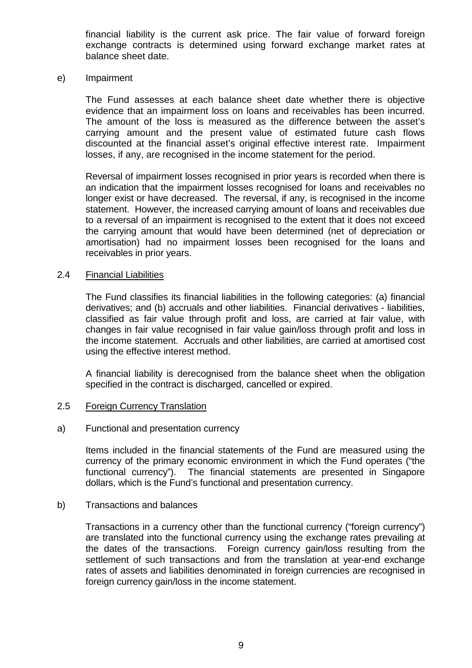financial liability is the current ask price. The fair value of forward foreign exchange contracts is determined using forward exchange market rates at balance sheet date.

#### e) Impairment

The Fund assesses at each balance sheet date whether there is objective evidence that an impairment loss on loans and receivables has been incurred. The amount of the loss is measured as the difference between the asset's carrying amount and the present value of estimated future cash flows discounted at the financial asset's original effective interest rate. Impairment losses, if any, are recognised in the income statement for the period.

 Reversal of impairment losses recognised in prior years is recorded when there is an indication that the impairment losses recognised for loans and receivables no longer exist or have decreased. The reversal, if any, is recognised in the income statement. However, the increased carrying amount of loans and receivables due to a reversal of an impairment is recognised to the extent that it does not exceed the carrying amount that would have been determined (net of depreciation or amortisation) had no impairment losses been recognised for the loans and receivables in prior years.

#### 2.4 Financial Liabilities

The Fund classifies its financial liabilities in the following categories: (a) financial derivatives; and (b) accruals and other liabilities. Financial derivatives - liabilities, classified as fair value through profit and loss, are carried at fair value, with changes in fair value recognised in fair value gain/loss through profit and loss in the income statement. Accruals and other liabilities, are carried at amortised cost using the effective interest method.

A financial liability is derecognised from the balance sheet when the obligation specified in the contract is discharged, cancelled or expired.

### 2.5 Foreign Currency Translation

#### a) Functional and presentation currency

Items included in the financial statements of the Fund are measured using the currency of the primary economic environment in which the Fund operates ("the functional currency"). The financial statements are presented in Singapore dollars, which is the Fund's functional and presentation currency.

#### b) Transactions and balances

Transactions in a currency other than the functional currency ("foreign currency") are translated into the functional currency using the exchange rates prevailing at the dates of the transactions. Foreign currency gain/loss resulting from the settlement of such transactions and from the translation at year-end exchange rates of assets and liabilities denominated in foreign currencies are recognised in foreign currency gain/loss in the income statement.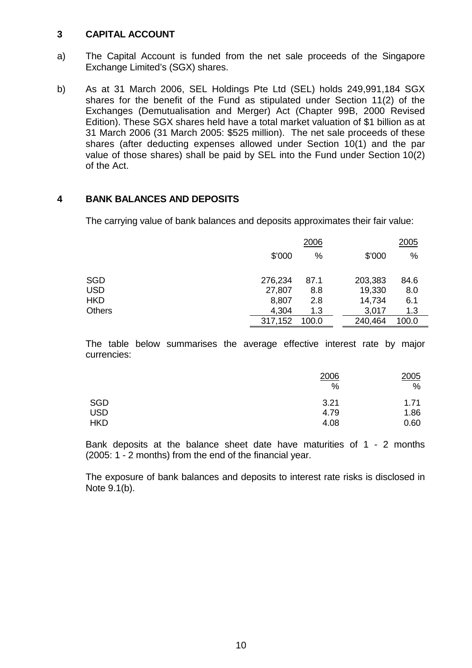### **3 CAPITAL ACCOUNT**

- a) The Capital Account is funded from the net sale proceeds of the Singapore Exchange Limited's (SGX) shares.
- b) As at 31 March 2006, SEL Holdings Pte Ltd (SEL) holds 249,991,184 SGX shares for the benefit of the Fund as stipulated under Section 11(2) of the Exchanges (Demutualisation and Merger) Act (Chapter 99B, 2000 Revised Edition). These SGX shares held have a total market valuation of \$1 billion as at 31 March 2006 (31 March 2005: \$525 million). The net sale proceeds of these shares (after deducting expenses allowed under Section 10(1) and the par value of those shares) shall be paid by SEL into the Fund under Section 10(2) of the Act.

### **4 BANK BALANCES AND DEPOSITS**

The carrying value of bank balances and deposits approximates their fair value:

|               |         | 2006  |         | 2005  |
|---------------|---------|-------|---------|-------|
|               | \$'000  | $\%$  | \$'000  | %     |
| <b>SGD</b>    | 276,234 | 87.1  | 203,383 | 84.6  |
| <b>USD</b>    | 27,807  | 8.8   | 19,330  | 8.0   |
| <b>HKD</b>    | 8,807   | 2.8   | 14,734  | 6.1   |
| <b>Others</b> | 4,304   | 1.3   | 3,017   | 1.3   |
|               | 317,152 | 100.0 | 240,464 | 100.0 |

 The table below summarises the average effective interest rate by major currencies:

|                          | 2006<br>%    | 2005<br>%    |
|--------------------------|--------------|--------------|
| <b>SGD</b><br><b>USD</b> | 3.21<br>4.79 | 1.71<br>1.86 |
| <b>HKD</b>               | 4.08         | 0.60         |

 Bank deposits at the balance sheet date have maturities of 1 - 2 months (2005: 1 - 2 months) from the end of the financial year.

 The exposure of bank balances and deposits to interest rate risks is disclosed in Note 9.1(b).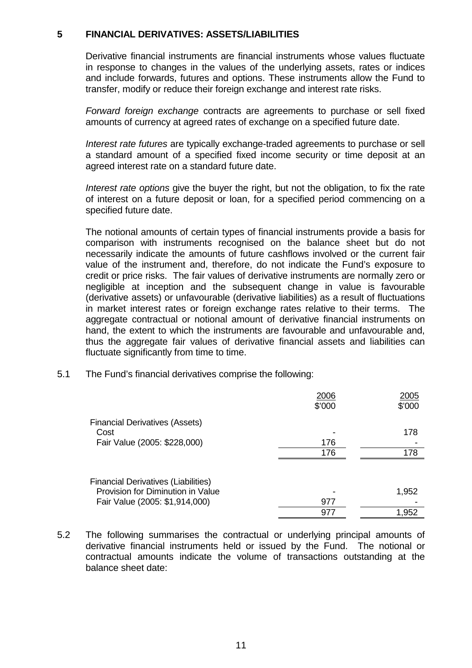#### **5 FINANCIAL DERIVATIVES: ASSETS/LIABILITIES**

Derivative financial instruments are financial instruments whose values fluctuate in response to changes in the values of the underlying assets, rates or indices and include forwards, futures and options. These instruments allow the Fund to transfer, modify or reduce their foreign exchange and interest rate risks.

*Forward foreign exchange* contracts are agreements to purchase or sell fixed amounts of currency at agreed rates of exchange on a specified future date.

*Interest rate futures* are typically exchange-traded agreements to purchase or sell a standard amount of a specified fixed income security or time deposit at an agreed interest rate on a standard future date.

*Interest rate options* give the buyer the right, but not the obligation, to fix the rate of interest on a future deposit or loan, for a specified period commencing on a specified future date.

 The notional amounts of certain types of financial instruments provide a basis for comparison with instruments recognised on the balance sheet but do not necessarily indicate the amounts of future cashflows involved or the current fair value of the instrument and, therefore, do not indicate the Fund's exposure to credit or price risks. The fair values of derivative instruments are normally zero or negligible at inception and the subsequent change in value is favourable (derivative assets) or unfavourable (derivative liabilities) as a result of fluctuations in market interest rates or foreign exchange rates relative to their terms. The aggregate contractual or notional amount of derivative financial instruments on hand, the extent to which the instruments are favourable and unfavourable and, thus the aggregate fair values of derivative financial assets and liabilities can fluctuate significantly from time to time.

5.1 The Fund's financial derivatives comprise the following:

|                                                                                 | 2006<br>\$'000 | 2005<br>\$'000 |
|---------------------------------------------------------------------------------|----------------|----------------|
| <b>Financial Derivatives (Assets)</b>                                           |                |                |
| Cost                                                                            |                | 178            |
| Fair Value (2005: \$228,000)                                                    | 176            |                |
|                                                                                 | 176            | 178            |
| <b>Financial Derivatives (Liabilities)</b><br>Provision for Diminution in Value |                |                |
|                                                                                 |                | 1,952          |
| Fair Value (2005: \$1,914,000)                                                  | 977            |                |
|                                                                                 | 97             | 1,952          |

5.2 The following summarises the contractual or underlying principal amounts of derivative financial instruments held or issued by the Fund. The notional or contractual amounts indicate the volume of transactions outstanding at the balance sheet date: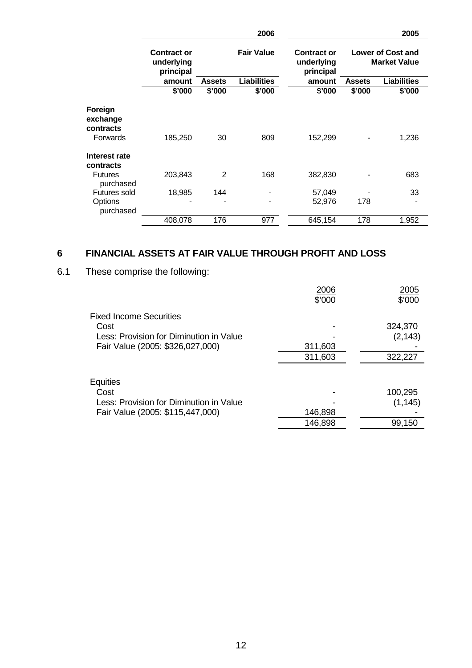|                                             |                                               |               | 2006               |                                               |        | 2005                                     |
|---------------------------------------------|-----------------------------------------------|---------------|--------------------|-----------------------------------------------|--------|------------------------------------------|
|                                             | <b>Contract or</b><br>underlying<br>principal |               | <b>Fair Value</b>  | <b>Contract or</b><br>underlying<br>principal |        | Lower of Cost and<br><b>Market Value</b> |
|                                             | amount                                        | <b>Assets</b> | <b>Liabilities</b> | amount                                        | Assets | <b>Liabilities</b>                       |
|                                             | \$'000                                        | \$'000        | \$'000             | \$'000                                        | \$'000 | \$'000                                   |
| Foreign<br>exchange<br>contracts            |                                               |               |                    |                                               |        |                                          |
| Forwards                                    | 185,250                                       | 30            | 809                | 152,299                                       |        | 1,236                                    |
| Interest rate<br>contracts                  |                                               |               |                    |                                               |        |                                          |
| <b>Futures</b><br>purchased                 | 203,843                                       | 2             | 168                | 382,830                                       |        | 683                                      |
| <b>Futures sold</b><br>Options<br>purchased | 18,985                                        | 144           |                    | 57,049<br>52,976                              | 178    | 33                                       |
|                                             | 408,078                                       | 176           | 977                | 645,154                                       | 178    | 1,952                                    |

# **6 FINANCIAL ASSETS AT FAIR VALUE THROUGH PROFIT AND LOSS**

# 6.1 These comprise the following:

|                                         | 2006<br>\$'000 | 2005<br>\$'000 |
|-----------------------------------------|----------------|----------------|
| <b>Fixed Income Securities</b>          |                |                |
| Cost                                    |                | 324,370        |
| Less: Provision for Diminution in Value |                | (2, 143)       |
| Fair Value (2005: \$326,027,000)        | 311,603        |                |
|                                         | 311,603        | 322,227        |
|                                         |                |                |
| Equities                                |                |                |
| Cost                                    |                | 100,295        |
| Less: Provision for Diminution in Value |                | (1, 145)       |
| Fair Value (2005: \$115,447,000)        | 146,898        |                |
|                                         | 146,898        | 99,150         |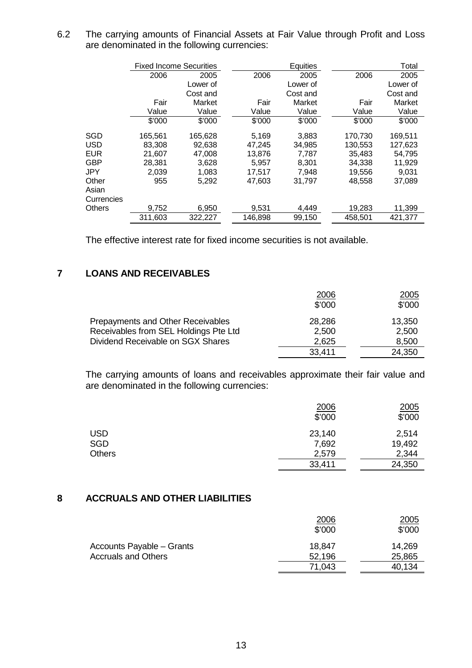6.2 The carrying amounts of Financial Assets at Fair Value through Profit and Loss are denominated in the following currencies:

|            | <b>Fixed Income Securities</b> |          | Equities |          |         | Total    |
|------------|--------------------------------|----------|----------|----------|---------|----------|
|            | 2006                           | 2005     | 2006     | 2005     | 2006    | 2005     |
|            |                                | Lower of |          | Lower of |         | Lower of |
|            |                                | Cost and |          | Cost and |         | Cost and |
|            | Fair                           | Market   | Fair     | Market   | Fair    | Market   |
|            | Value                          | Value    | Value    | Value    | Value   | Value    |
|            | \$'000                         | \$'000   | \$'000   | \$'000   | \$'000  | \$'000   |
| SGD        | 165,561                        | 165,628  | 5,169    | 3,883    | 170,730 | 169,511  |
| USD        | 83,308                         | 92,638   | 47,245   | 34,985   | 130,553 | 127,623  |
| EUR        | 21.607                         | 47,008   | 13,876   | 7,787    | 35,483  | 54.795   |
| GBP        | 28,381                         | 3,628    | 5,957    | 8,301    | 34,338  | 11,929   |
| JPY        | 2,039                          | 1,083    | 17,517   | 7,948    | 19,556  | 9,031    |
| Other      | 955                            | 5,292    | 47,603   | 31,797   | 48,558  | 37,089   |
| Asian      |                                |          |          |          |         |          |
| Currencies |                                |          |          |          |         |          |
| Others     | 9,752                          | 6,950    | 9,531    | 4,449    | 19,283  | 11,399   |
|            | 311,603                        | 322,227  | 146,898  | 99,150   | 458,501 | 421,377  |

The effective interest rate for fixed income securities is not available.

# **7 LOANS AND RECEIVABLES**

|                                          | 2006   | 2005   |
|------------------------------------------|--------|--------|
|                                          | \$'000 | \$'000 |
| <b>Prepayments and Other Receivables</b> | 28,286 | 13,350 |
| Receivables from SEL Holdings Pte Ltd    | 2,500  | 2,500  |
| Dividend Receivable on SGX Shares        | 2,625  | 8,500  |
|                                          | 33,411 | 24,350 |

 The carrying amounts of loans and receivables approximate their fair value and are denominated in the following currencies:

|               | 2006<br>\$'000 | 2005<br>\$'000 |
|---------------|----------------|----------------|
| <b>USD</b>    | 23,140         | 2,514          |
| <b>SGD</b>    | 7,692          | 19,492         |
| <b>Others</b> | 2,579          | 2,344          |
|               | 33,411         | 24,350         |

### **8 ACCRUALS AND OTHER LIABILITIES**

|                            | 2006<br>\$'000 | <u>2005</u><br>\$'000 |
|----------------------------|----------------|-----------------------|
| Accounts Payable - Grants  | 18,847         | 14,269                |
| <b>Accruals and Others</b> | 52,196         | 25,865                |
|                            | 71,043         | 40,134                |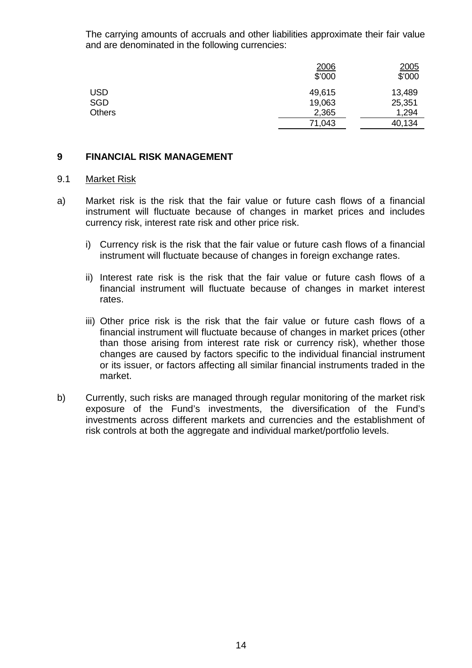The carrying amounts of accruals and other liabilities approximate their fair value and are denominated in the following currencies:

|               | 2006<br>\$'000 | 2005<br>\$'000 |
|---------------|----------------|----------------|
| <b>USD</b>    | 49,615         | 13,489         |
| <b>SGD</b>    | 19,063         | 25,351         |
| <b>Others</b> | 2,365          | 1,294          |
|               | 71,043         | 40,134         |

#### **9 FINANCIAL RISK MANAGEMENT**

#### 9.1 Market Risk

- a) Market risk is the risk that the fair value or future cash flows of a financial instrument will fluctuate because of changes in market prices and includes currency risk, interest rate risk and other price risk.
	- i) Currency risk is the risk that the fair value or future cash flows of a financial instrument will fluctuate because of changes in foreign exchange rates.
	- ii) Interest rate risk is the risk that the fair value or future cash flows of a financial instrument will fluctuate because of changes in market interest rates.
	- iii) Other price risk is the risk that the fair value or future cash flows of a financial instrument will fluctuate because of changes in market prices (other than those arising from interest rate risk or currency risk), whether those changes are caused by factors specific to the individual financial instrument or its issuer, or factors affecting all similar financial instruments traded in the market.
- b) Currently, such risks are managed through regular monitoring of the market risk exposure of the Fund's investments, the diversification of the Fund's investments across different markets and currencies and the establishment of risk controls at both the aggregate and individual market/portfolio levels.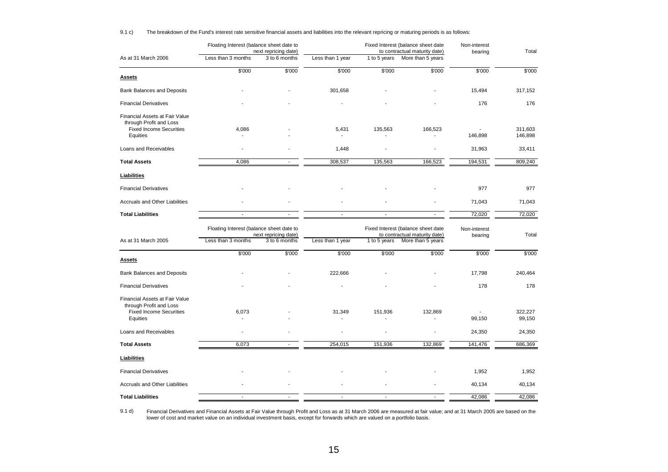| 9.1 c) |  | The breakdown of the Fund's interest rate sensitive financial assets and liabilities into the relevant repricing or maturing periods is as follows: |  |  |  |
|--------|--|-----------------------------------------------------------------------------------------------------------------------------------------------------|--|--|--|
|        |  |                                                                                                                                                     |  |  |  |

|                                                                                                         | Floating Interest (balance sheet date to<br>next repricing date) |                      | Fixed Interest (balance sheet date<br>to contractual maturity date) |                                                                     |                   | Non-interest<br>bearing | Total              |
|---------------------------------------------------------------------------------------------------------|------------------------------------------------------------------|----------------------|---------------------------------------------------------------------|---------------------------------------------------------------------|-------------------|-------------------------|--------------------|
| As at 31 March 2006                                                                                     | Less than 3 months                                               | 3 to 6 months        | Less than 1 year                                                    | 1 to 5 years                                                        | More than 5 years |                         |                    |
| Assets                                                                                                  | \$'000                                                           | \$'000               | \$'000                                                              | \$'000                                                              | \$'000            | \$'000                  | \$'000             |
| <b>Bank Balances and Deposits</b>                                                                       |                                                                  |                      | 301,658                                                             |                                                                     |                   | 15,494                  | 317,152            |
| <b>Financial Derivatives</b>                                                                            |                                                                  |                      |                                                                     |                                                                     |                   | 176                     | 176                |
| Financial Assets at Fair Value<br>through Profit and Loss<br><b>Fixed Income Securities</b><br>Equities | 4,086                                                            |                      | 5,431                                                               | 135,563                                                             | 166,523           | 146,898                 | 311,603<br>146,898 |
| Loans and Receivables                                                                                   |                                                                  |                      | 1,448                                                               | $\overline{\phantom{a}}$                                            |                   | 31,963                  | 33,411             |
| <b>Total Assets</b>                                                                                     | 4,086                                                            |                      | 308,537                                                             | 135,563                                                             | 166,523           | 194,531                 | 809,240            |
| Liabilities                                                                                             |                                                                  |                      |                                                                     |                                                                     |                   |                         |                    |
| <b>Financial Derivatives</b>                                                                            |                                                                  |                      |                                                                     |                                                                     |                   | 977                     | 977                |
| <b>Accruals and Other Liabilities</b>                                                                   |                                                                  |                      |                                                                     |                                                                     |                   | 71,043                  | 71,043             |
| <b>Total Liabilities</b>                                                                                | $\blacksquare$                                                   |                      | $\blacksquare$                                                      |                                                                     |                   | 72,020                  | 72,020             |
|                                                                                                         | Floating Interest (balance sheet date to                         | next repricing date) |                                                                     | Fixed Interest (balance sheet date<br>to contractual maturity date) |                   | Non-interest<br>bearing | Total              |
| As at 31 March 2005                                                                                     | Less than 3 months                                               | 3 to 6 months        | Less than 1 year                                                    | 1 to 5 years                                                        | More than 5 years |                         |                    |
| Assets                                                                                                  | $\sqrt{$}000$                                                    | \$'000               | $\sqrt{$}000$                                                       | \$'000                                                              | $\sqrt{$}000$     | \$'000                  | \$'000             |
| <b>Bank Balances and Deposits</b>                                                                       |                                                                  |                      | 222,666                                                             |                                                                     |                   | 17,798                  | 240,464            |
| <b>Financial Derivatives</b>                                                                            |                                                                  |                      |                                                                     |                                                                     |                   | 178                     | 178                |
| Financial Assets at Fair Value<br>through Profit and Loss<br><b>Fixed Income Securities</b><br>Equities | 6,073                                                            |                      | 31,349                                                              | 151,936                                                             | 132,869           | 99,150                  | 322,227<br>99,150  |
| Loans and Receivables                                                                                   |                                                                  |                      |                                                                     | $\blacksquare$                                                      |                   | 24,350                  | 24,350             |
| <b>Total Assets</b>                                                                                     | 6,073                                                            |                      | 254,015                                                             | 151,936                                                             | 132,869           | 141,476                 | 686,369            |
| <b>Liabilities</b>                                                                                      |                                                                  |                      |                                                                     |                                                                     |                   |                         |                    |
| <b>Financial Derivatives</b>                                                                            |                                                                  |                      |                                                                     |                                                                     |                   | 1,952                   | 1,952              |
| <b>Accruals and Other Liabilities</b>                                                                   |                                                                  |                      |                                                                     |                                                                     |                   | 40,134                  | 40,134             |
| <b>Total Liabilities</b>                                                                                | $\mathbf{r}$                                                     | $\blacksquare$       | $\sim$                                                              | $\sim$                                                              | $\blacksquare$    | 42,086                  | 42,086             |

9.1 d) Financial Derivatives and Financial Assets at Fair Value through Profit and Loss as at 31 March 2006 are measured at fair value; and at 31 March 2005 are based on the<br>Iower of cost and market value on an individual investm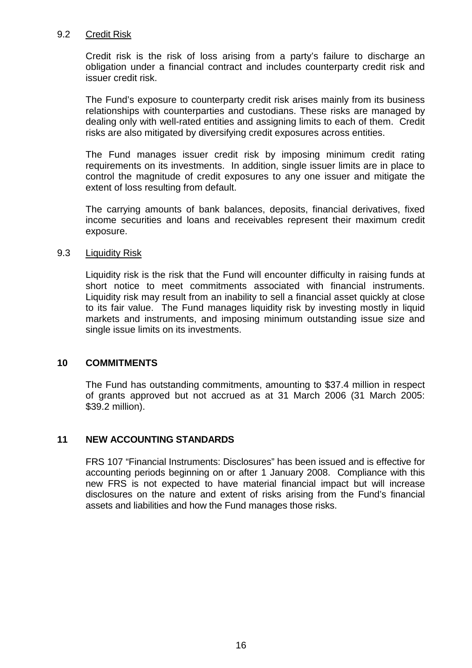#### 9.2 Credit Risk

 Credit risk is the risk of loss arising from a party's failure to discharge an obligation under a financial contract and includes counterparty credit risk and issuer credit risk.

The Fund's exposure to counterparty credit risk arises mainly from its business relationships with counterparties and custodians. These risks are managed by dealing only with well-rated entities and assigning limits to each of them. Credit risks are also mitigated by diversifying credit exposures across entities.

 The Fund manages issuer credit risk by imposing minimum credit rating requirements on its investments. In addition, single issuer limits are in place to control the magnitude of credit exposures to any one issuer and mitigate the extent of loss resulting from default.

The carrying amounts of bank balances, deposits, financial derivatives, fixed income securities and loans and receivables represent their maximum credit exposure.

### 9.3 Liquidity Risk

Liquidity risk is the risk that the Fund will encounter difficulty in raising funds at short notice to meet commitments associated with financial instruments. Liquidity risk may result from an inability to sell a financial asset quickly at close to its fair value. The Fund manages liquidity risk by investing mostly in liquid markets and instruments, and imposing minimum outstanding issue size and single issue limits on its investments.

### **10 COMMITMENTS**

 The Fund has outstanding commitments, amounting to \$37.4 million in respect of grants approved but not accrued as at 31 March 2006 (31 March 2005: \$39.2 million).

### **11 NEW ACCOUNTING STANDARDS**

FRS 107 "Financial Instruments: Disclosures" has been issued and is effective for accounting periods beginning on or after 1 January 2008. Compliance with this new FRS is not expected to have material financial impact but will increase disclosures on the nature and extent of risks arising from the Fund's financial assets and liabilities and how the Fund manages those risks.